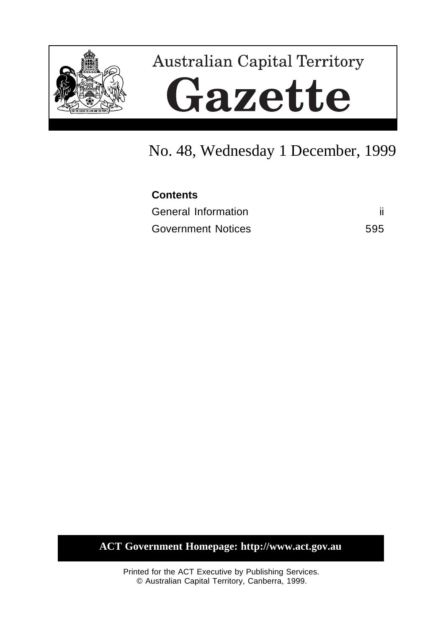

# **Australian Capital Territory** Gazette

## No. 48, Wednesday 1 December, 1999

| <b>Contents</b>            |     |
|----------------------------|-----|
| <b>General Information</b> |     |
| <b>Government Notices</b>  | 595 |

## **ACT Government Homepage: http://www.act.gov.au**

Printed for the ACT Executive by Publishing Services. © Australian Capital Territory, Canberra, 1999.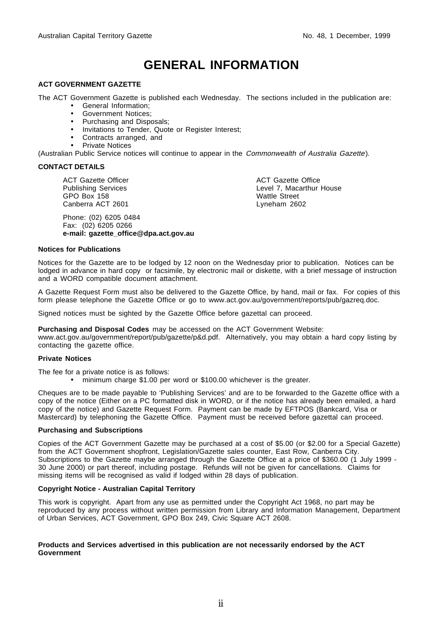## **GENERAL INFORMATION**

#### **ACT GOVERNMENT GAZETTE**

The ACT Government Gazette is published each Wednesday. The sections included in the publication are:

- General Information;
- Government Notices;
- Purchasing and Disposals;
- Invitations to Tender, Quote or Register Interest;
- Contracts arranged, and
- Private Notices

(Australian Public Service notices will continue to appear in the Commonwealth of Australia Gazette).

#### **CONTACT DETAILS**

ACT Gazette Officer Publishing Services GPO Box 158 Canberra ACT 2601

Phone: (02) 6205 0484 Fax: (02) 6205 0266 **e-mail: gazette\_office@dpa.act.gov.au** ACT Gazette Office Level 7, Macarthur House Wattle Street Lyneham 2602

#### **Notices for Publications**

Notices for the Gazette are to be lodged by 12 noon on the Wednesday prior to publication. Notices can be lodged in advance in hard copy or facsimile, by electronic mail or diskette, with a brief message of instruction and a WORD compatible document attachment.

A Gazette Request Form must also be delivered to the Gazette Office, by hand, mail or fax. For copies of this form please telephone the Gazette Office or go to www.act.gov.au/government/reports/pub/gazreq.doc.

Signed notices must be sighted by the Gazette Office before gazettal can proceed.

**Purchasing and Disposal Codes** may be accessed on the ACT Government Website:

www.act.gov.au/government/report/pub/gazette/p&d.pdf. Alternatively, you may obtain a hard copy listing by contacting the gazette office.

#### **Private Notices**

The fee for a private notice is as follows:

• minimum charge \$1.00 per word or \$100.00 whichever is the greater.

Cheques are to be made payable to 'Publishing Services' and are to be forwarded to the Gazette office with a copy of the notice (Either on a PC formatted disk in WORD, or if the notice has already been emailed, a hard copy of the notice) and Gazette Request Form. Payment can be made by EFTPOS (Bankcard, Visa or Mastercard) by telephoning the Gazette Office. Payment must be received before gazettal can proceed.

#### **Purchasing and Subscriptions**

Copies of the ACT Government Gazette may be purchased at a cost of \$5.00 (or \$2.00 for a Special Gazette) from the ACT Government shopfront, Legislation/Gazette sales counter, East Row, Canberra City. Subscriptions to the Gazette maybe arranged through the Gazette Office at a price of \$360.00 (1 July 1999 -30 June 2000) or part thereof, including postage. Refunds will not be given for cancellations. Claims for missing items will be recognised as valid if lodged within 28 days of publication.

#### **Copyright Notice - Australian Capital Territory**

This work is copyright. Apart from any use as permitted under the Copyright Act 1968, no part may be reproduced by any process without written permission from Library and Information Management, Department of Urban Services, ACT Government, GPO Box 249, Civic Square ACT 2608.

#### **Products and Services advertised in this publication are not necessarily endorsed by the ACT Government**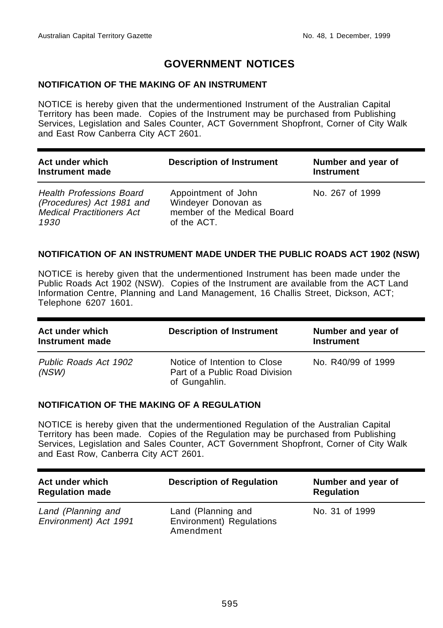## **GOVERNMENT NOTICES**

#### **NOTIFICATION OF THE MAKING OF AN INSTRUMENT**

NOTICE is hereby given that the undermentioned Instrument of the Australian Capital Territory has been made. Copies of the Instrument may be purchased from Publishing Services, Legislation and Sales Counter, ACT Government Shopfront, Corner of City Walk and East Row Canberra City ACT 2601.

| Act under which<br>Instrument made                                                                       | <b>Description of Instrument</b>                                                         | Number and year of<br><b>Instrument</b> |
|----------------------------------------------------------------------------------------------------------|------------------------------------------------------------------------------------------|-----------------------------------------|
| <b>Health Professions Board</b><br>(Procedures) Act 1981 and<br><b>Medical Practitioners Act</b><br>1930 | Appointment of John<br>Windeyer Donovan as<br>member of the Medical Board<br>of the ACT. | No. 267 of 1999                         |

#### **NOTIFICATION OF AN INSTRUMENT MADE UNDER THE PUBLIC ROADS ACT 1902 (NSW)**

NOTICE is hereby given that the undermentioned Instrument has been made under the Public Roads Act 1902 (NSW). Copies of the Instrument are available from the ACT Land Information Centre, Planning and Land Management, 16 Challis Street, Dickson, ACT; Telephone 6207 1601.

| Act under which<br>Instrument made | <b>Description of Instrument</b>                                                | Number and year of<br><b>Instrument</b> |
|------------------------------------|---------------------------------------------------------------------------------|-----------------------------------------|
| Public Roads Act 1902<br>(NSW)     | Notice of Intention to Close<br>Part of a Public Road Division<br>of Gungahlin. | No. R40/99 of 1999                      |

#### **NOTIFICATION OF THE MAKING OF A REGULATION**

NOTICE is hereby given that the undermentioned Regulation of the Australian Capital Territory has been made. Copies of the Regulation may be purchased from Publishing Services, Legislation and Sales Counter, ACT Government Shopfront, Corner of City Walk and East Row, Canberra City ACT 2601.

| Act under which<br><b>Regulation made</b>   | <b>Description of Regulation</b>                            | Number and year of<br><b>Regulation</b> |
|---------------------------------------------|-------------------------------------------------------------|-----------------------------------------|
| Land (Planning and<br>Environment) Act 1991 | Land (Planning and<br>Environment) Regulations<br>Amendment | No. 31 of 1999                          |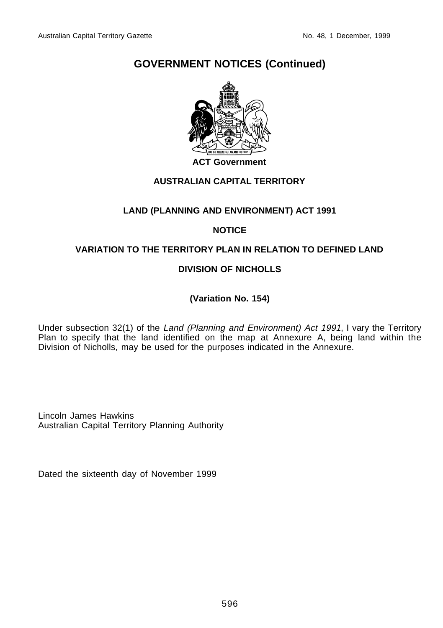

#### **ACT Government**

## **AUSTRALIAN CAPITAL TERRITORY**

#### **LAND (PLANNING AND ENVIRONMENT) ACT 1991**

#### **NOTICE**

#### **VARIATION TO THE TERRITORY PLAN IN RELATION TO DEFINED LAND**

#### **DIVISION OF NICHOLLS**

**(Variation No. 154)**

Under subsection 32(1) of the Land (Planning and Environment) Act 1991, I vary the Territory Plan to specify that the land identified on the map at Annexure A, being land within the Division of Nicholls, may be used for the purposes indicated in the Annexure.

Lincoln James Hawkins Australian Capital Territory Planning Authority

Dated the sixteenth day of November 1999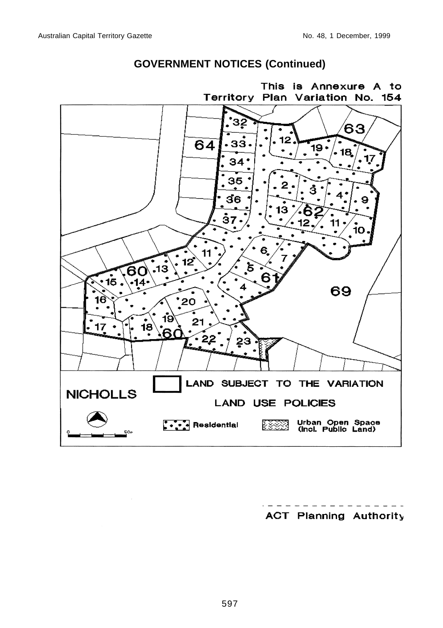

**ACT Planning Authority**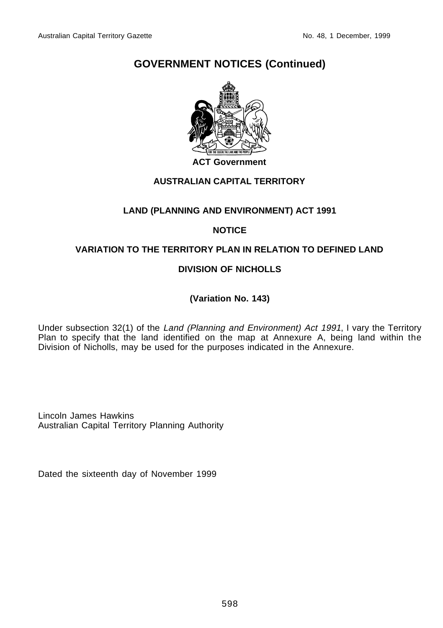

#### **ACT Government**

#### **AUSTRALIAN CAPITAL TERRITORY**

#### **LAND (PLANNING AND ENVIRONMENT) ACT 1991**

#### **NOTICE**

#### **VARIATION TO THE TERRITORY PLAN IN RELATION TO DEFINED LAND**

#### **DIVISION OF NICHOLLS**

**(Variation No. 143)**

Under subsection 32(1) of the Land (Planning and Environment) Act 1991, I vary the Territory Plan to specify that the land identified on the map at Annexure A, being land within the Division of Nicholls, may be used for the purposes indicated in the Annexure.

Lincoln James Hawkins Australian Capital Territory Planning Authority

Dated the sixteenth day of November 1999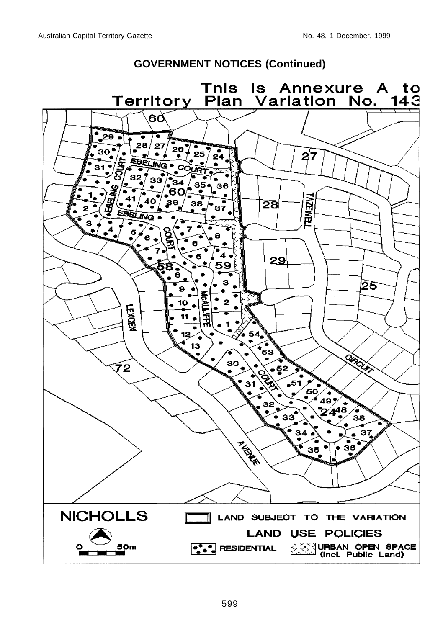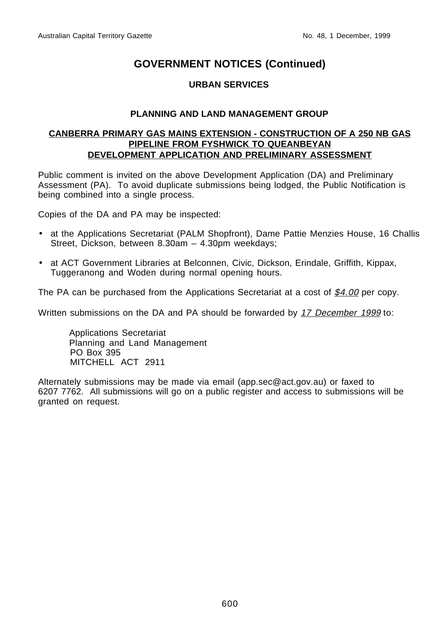#### **URBAN SERVICES**

#### **PLANNING AND LAND MANAGEMENT GROUP**

#### **CANBERRA PRIMARY GAS MAINS EXTENSION - CONSTRUCTION OF A 250 NB GAS PIPELINE FROM FYSHWICK TO QUEANBEYAN DEVELOPMENT APPLICATION AND PRELIMINARY ASSESSMENT**

Public comment is invited on the above Development Application (DA) and Preliminary Assessment (PA). To avoid duplicate submissions being lodged, the Public Notification is being combined into a single process.

Copies of the DA and PA may be inspected:

- at the Applications Secretariat (PALM Shopfront), Dame Pattie Menzies House, 16 Challis Street, Dickson, between 8.30am – 4.30pm weekdays;
- at ACT Government Libraries at Belconnen, Civic, Dickson, Erindale, Griffith, Kippax, Tuggeranong and Woden during normal opening hours.

The PA can be purchased from the Applications Secretariat at a cost of \$4.00 per copy.

Written submissions on the DA and PA should be forwarded by 17 December 1999 to:

Applications Secretariat Planning and Land Management PO Box 395 MITCHELL ACT 2911

Alternately submissions may be made via email (app.sec@act.gov.au) or faxed to 6207 7762. All submissions will go on a public register and access to submissions will be granted on request.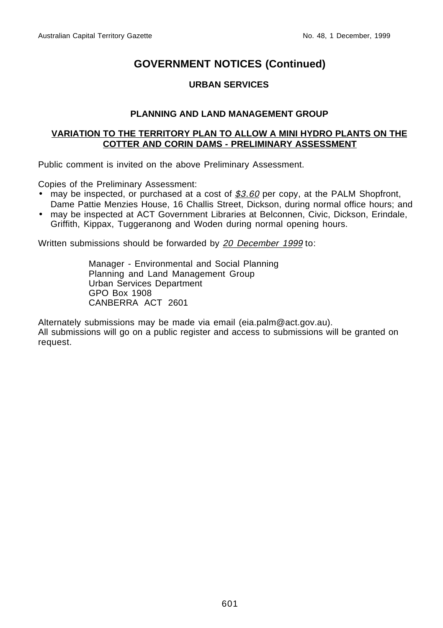#### **URBAN SERVICES**

#### **PLANNING AND LAND MANAGEMENT GROUP**

#### **VARIATION TO THE TERRITORY PLAN TO ALLOW A MINI HYDRO PLANTS ON THE COTTER AND CORIN DAMS - PRELIMINARY ASSESSMENT**

Public comment is invited on the above Preliminary Assessment.

Copies of the Preliminary Assessment:

- may be inspected, or purchased at a cost of  $$3.60$  per copy, at the PALM Shopfront, Dame Pattie Menzies House, 16 Challis Street, Dickson, during normal office hours; and
- may be inspected at ACT Government Libraries at Belconnen, Civic, Dickson, Erindale, Griffith, Kippax, Tuggeranong and Woden during normal opening hours.

Written submissions should be forwarded by 20 December 1999 to:

Manager - Environmental and Social Planning Planning and Land Management Group Urban Services Department GPO Box 1908 CANBERRA ACT 2601

Alternately submissions may be made via email (eia.palm@act.gov.au). All submissions will go on a public register and access to submissions will be granted on request.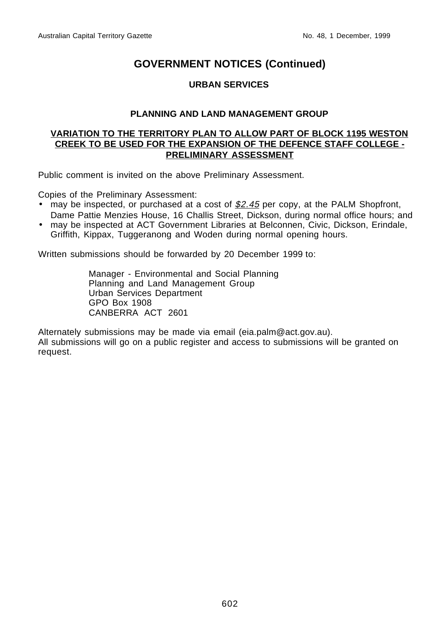#### **URBAN SERVICES**

#### **PLANNING AND LAND MANAGEMENT GROUP**

#### **VARIATION TO THE TERRITORY PLAN TO ALLOW PART OF BLOCK 1195 WESTON CREEK TO BE USED FOR THE EXPANSION OF THE DEFENCE STAFF COLLEGE - PRELIMINARY ASSESSMENT**

Public comment is invited on the above Preliminary Assessment.

Copies of the Preliminary Assessment:

- may be inspected, or purchased at a cost of  $$2.45$  per copy, at the PALM Shopfront, Dame Pattie Menzies House, 16 Challis Street, Dickson, during normal office hours; and
- may be inspected at ACT Government Libraries at Belconnen, Civic, Dickson, Erindale, Griffith, Kippax, Tuggeranong and Woden during normal opening hours.

Written submissions should be forwarded by 20 December 1999 to:

Manager - Environmental and Social Planning Planning and Land Management Group Urban Services Department GPO Box 1908 CANBERRA ACT 2601

Alternately submissions may be made via email (eia.palm@act.gov.au). All submissions will go on a public register and access to submissions will be granted on request.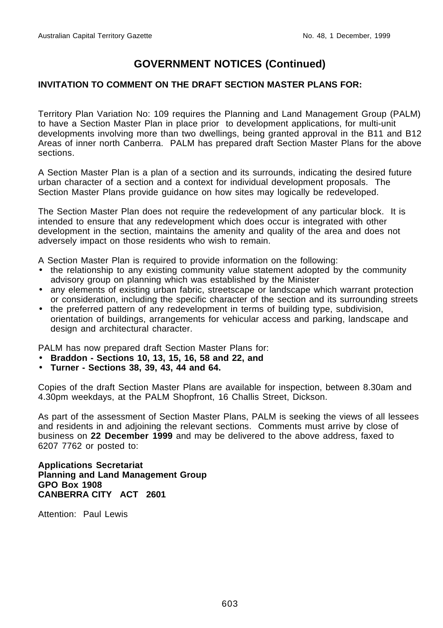#### **INVITATION TO COMMENT ON THE DRAFT SECTION MASTER PLANS FOR:**

Territory Plan Variation No: 109 requires the Planning and Land Management Group (PALM) to have a Section Master Plan in place prior to development applications, for multi-unit developments involving more than two dwellings, being granted approval in the B11 and B12 Areas of inner north Canberra. PALM has prepared draft Section Master Plans for the above sections.

A Section Master Plan is a plan of a section and its surrounds, indicating the desired future urban character of a section and a context for individual development proposals. The Section Master Plans provide guidance on how sites may logically be redeveloped.

The Section Master Plan does not require the redevelopment of any particular block. It is intended to ensure that any redevelopment which does occur is integrated with other development in the section, maintains the amenity and quality of the area and does not adversely impact on those residents who wish to remain.

A Section Master Plan is required to provide information on the following:

- the relationship to any existing community value statement adopted by the community advisory group on planning which was established by the Minister
- any elements of existing urban fabric, streetscape or landscape which warrant protection or consideration, including the specific character of the section and its surrounding streets
- the preferred pattern of any redevelopment in terms of building type, subdivision, orientation of buildings, arrangements for vehicular access and parking, landscape and design and architectural character.

PALM has now prepared draft Section Master Plans for:

- **Braddon Sections 10, 13, 15, 16, 58 and 22, and**
- **Turner Sections 38, 39, 43, 44 and 64.**

Copies of the draft Section Master Plans are available for inspection, between 8.30am and 4.30pm weekdays, at the PALM Shopfront, 16 Challis Street, Dickson.

As part of the assessment of Section Master Plans, PALM is seeking the views of all lessees and residents in and adjoining the relevant sections. Comments must arrive by close of business on **22 December 1999** and may be delivered to the above address, faxed to 6207 7762 or posted to:

**Applications Secretariat Planning and Land Management Group GPO Box 1908 CANBERRA CITY ACT 2601**

Attention: Paul Lewis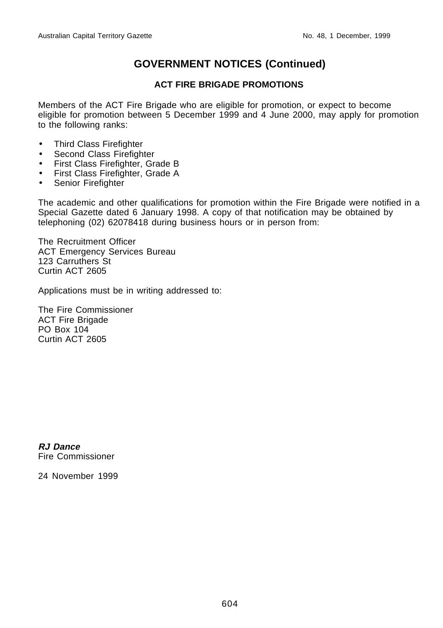#### **ACT FIRE BRIGADE PROMOTIONS**

Members of the ACT Fire Brigade who are eligible for promotion, or expect to become eligible for promotion between 5 December 1999 and 4 June 2000, may apply for promotion to the following ranks:

- Third Class Firefighter
- Second Class Firefighter
- First Class Firefighter, Grade B
- First Class Firefighter, Grade A
- Senior Firefighter

The academic and other qualifications for promotion within the Fire Brigade were notified in a Special Gazette dated 6 January 1998. A copy of that notification may be obtained by telephoning (02) 62078418 during business hours or in person from:

The Recruitment Officer ACT Emergency Services Bureau 123 Carruthers St Curtin ACT 2605

Applications must be in writing addressed to:

The Fire Commissioner ACT Fire Brigade PO Box 104 Curtin ACT 2605

**RJ Dance** Fire Commissioner

24 November 1999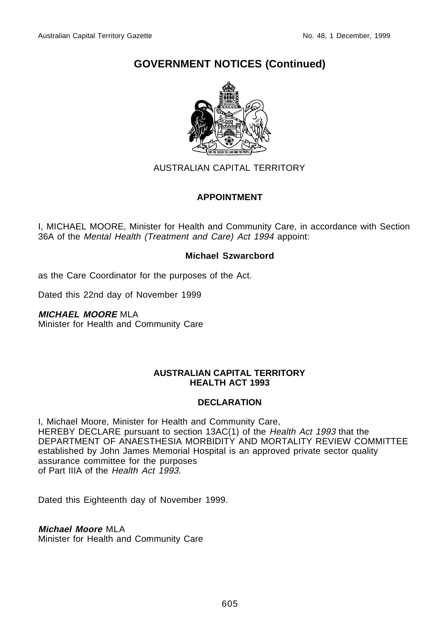

#### AUSTRALIAN CAPITAL TERRITORY

#### **APPOINTMENT**

I, MICHAEL MOORE, Minister for Health and Community Care, in accordance with Section 36A of the Mental Health (Treatment and Care) Act 1994 appoint:

#### **Michael Szwarcbord**

as the Care Coordinator for the purposes of the Act.

Dated this 22nd day of November 1999

#### **MICHAEL MOORE** MLA

Minister for Health and Community Care

#### **AUSTRALIAN CAPITAL TERRITORY HEALTH ACT 1993**

#### **DECLARATION**

I, Michael Moore, Minister for Health and Community Care, HEREBY DECLARE pursuant to section 13AC(1) of the Health Act 1993 that the DEPARTMENT OF ANAESTHESIA MORBIDITY AND MORTALITY REVIEW COMMITTEE established by John James Memorial Hospital is an approved private sector quality assurance committee for the purposes of Part IIIA of the Health Act 1993.

Dated this Eighteenth day of November 1999.

#### **Michael Moore** MLA

Minister for Health and Community Care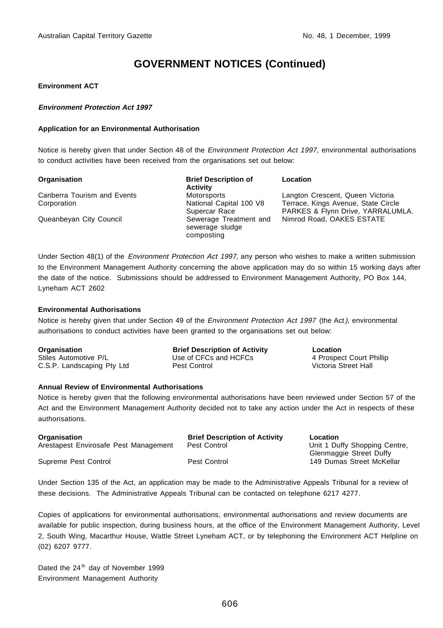#### **Environment ACT**

#### **Environment Protection Act 1997**

#### **Application for an Environmental Authorisation**

Notice is hereby given that under Section 48 of the *Environment Protection Act 1997*, environmental authorisations to conduct activities have been received from the organisations set out below:

| Organisation                | <b>Brief Description of</b><br><b>Activity</b>          | Location                                                                 |
|-----------------------------|---------------------------------------------------------|--------------------------------------------------------------------------|
| Canberra Tourism and Events | Motorsports                                             | Langton Crescent, Queen Victoria                                         |
| Corporation                 | National Capital 100 V8<br>Supercar Race                | Terrace, Kings Avenue, State Circle<br>PARKES & Flynn Drive, YARRALUMLA. |
| Queanbeyan City Council     | Sewerage Treatment and<br>sewerage sludge<br>composting | Nimrod Road, OAKES ESTATE                                                |

Under Section 48(1) of the *Environment Protection Act 1997*, any person who wishes to make a written submission to the Environment Management Authority concerning the above application may do so within 15 working days after the date of the notice. Submissions should be addressed to Environment Management Authority, PO Box 144, Lyneham ACT 2602

#### **Environmental Authorisations**

Notice is hereby given that under Section 49 of the Environment Protection Act 1997 (the Act), environmental authorisations to conduct activities have been granted to the organisations set out below:

| Organisation               | <b>Brief Description of Activity</b> | Location                 |
|----------------------------|--------------------------------------|--------------------------|
| Stiles Automotive P/L      | Use of CFCs and HCFCs                | 4 Prospect Court Phillip |
| C.S.P. Landscaping Pty Ltd | Pest Control                         | Victoria Street Hall     |

#### **Annual Review of Environmental Authorisations**

Notice is hereby given that the following environmental authorisations have been reviewed under Section 57 of the Act and the Environment Management Authority decided not to take any action under the Act in respects of these authorisations.

| <b>Organisation</b>                   | <b>Brief Description of Activity</b> | Location                                             |
|---------------------------------------|--------------------------------------|------------------------------------------------------|
| Arestapest Envirosafe Pest Management | Pest Control                         | Unit 1 Duffy Shopping Centre,                        |
| Supreme Pest Control                  | Pest Control                         | Glenmaggie Street Duffy<br>149 Dumas Street McKellar |

Under Section 135 of the Act, an application may be made to the Administrative Appeals Tribunal for a review of these decisions. The Administrative Appeals Tribunal can be contacted on telephone 6217 4277.

Copies of applications for environmental authorisations, environmental authorisations and review documents are available for public inspection, during business hours, at the office of the Environment Management Authority, Level 2, South Wing, Macarthur House, Wattle Street Lyneham ACT, or by telephoning the Environment ACT Helpline on (02) 6207 9777.

Dated the 24<sup>th</sup> day of November 1999 Environment Management Authority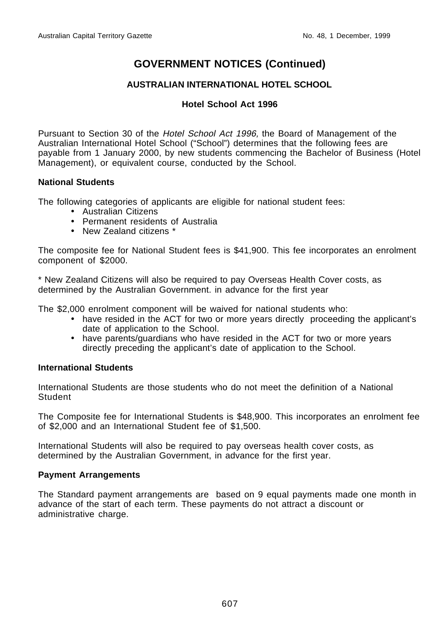#### **AUSTRALIAN INTERNATIONAL HOTEL SCHOOL**

#### **Hotel School Act 1996**

Pursuant to Section 30 of the *Hotel School Act 1996*, the Board of Management of the Australian International Hotel School ("School") determines that the following fees are payable from 1 January 2000, by new students commencing the Bachelor of Business (Hotel Management), or equivalent course, conducted by the School.

#### **National Students**

The following categories of applicants are eligible for national student fees:

- Australian Citizens
- Permanent residents of Australia
- New Zealand citizens \*

The composite fee for National Student fees is \$41,900. This fee incorporates an enrolment component of \$2000.

\* New Zealand Citizens will also be required to pay Overseas Health Cover costs, as determined by the Australian Government. in advance for the first year

The \$2,000 enrolment component will be waived for national students who:

- have resided in the ACT for two or more years directly proceeding the applicant's date of application to the School.
- have parents/guardians who have resided in the ACT for two or more years directly preceding the applicant's date of application to the School.

#### **International Students**

International Students are those students who do not meet the definition of a National **Student** 

The Composite fee for International Students is \$48,900. This incorporates an enrolment fee of \$2,000 and an International Student fee of \$1,500.

International Students will also be required to pay overseas health cover costs, as determined by the Australian Government, in advance for the first year.

#### **Payment Arrangements**

The Standard payment arrangements are based on 9 equal payments made one month in advance of the start of each term. These payments do not attract a discount or administrative charge.